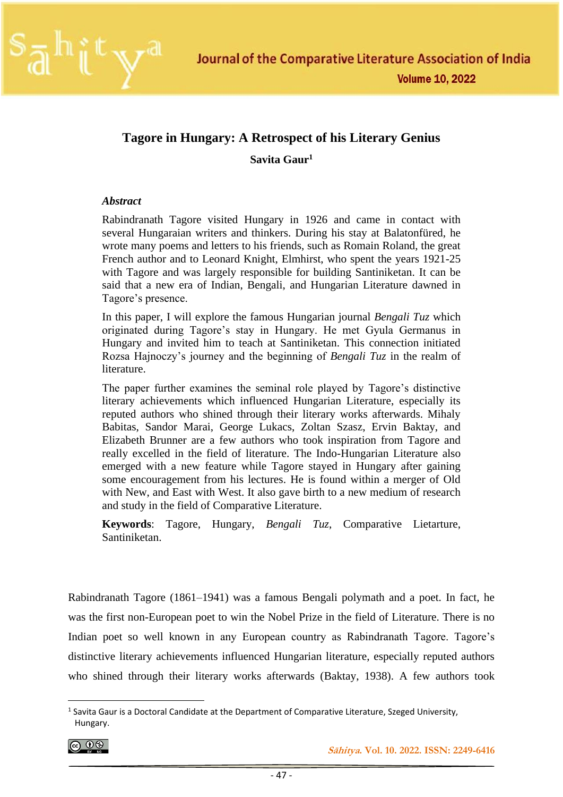

### **Tagore in Hungary: A Retrospect of his Literary Genius**

**Savita Gaur<sup>1</sup>**

### *Abstract*

Rabindranath Tagore visited Hungary in 1926 and came in contact with several Hungaraian writers and thinkers. During his stay at Balatonfüred, he wrote many poems and letters to his friends, such as Romain Roland, the great French author and to Leonard Knight, Elmhirst, who spent the years 1921-25 with Tagore and was largely responsible for building Santiniketan. It can be said that a new era of Indian, Bengali, and Hungarian Literature dawned in Tagore's presence.

In this paper, I will explore the famous Hungarian journal *Bengali Tuz* which originated during Tagore's stay in Hungary. He met Gyula Germanus in Hungary and invited him to teach at Santiniketan. This connection initiated Rozsa Hajnoczy's journey and the beginning of *Bengali Tuz* in the realm of literature.

The paper further examines the seminal role played by Tagore's distinctive literary achievements which influenced Hungarian Literature, especially its reputed authors who shined through their literary works afterwards. Mihaly Babitas, Sandor Marai, George Lukacs, Zoltan Szasz, Ervin Baktay, and Elizabeth Brunner are a few authors who took inspiration from Tagore and really excelled in the field of literature. The Indo-Hungarian Literature also emerged with a new feature while Tagore stayed in Hungary after gaining some encouragement from his lectures. He is found within a merger of Old with New, and East with West. It also gave birth to a new medium of research and study in the field of Comparative Literature.

**Keywords**: Tagore, Hungary, *Bengali Tuz*, Comparative Lietarture, Santiniketan.

Rabindranath Tagore (1861–1941) was a famous Bengali polymath and a poet. In fact, he was the first non-European poet to win the Nobel Prize in the field of Literature. There is no Indian poet so well known in any European country as Rabindranath Tagore. Tagore's distinctive literary achievements influenced Hungarian literature, especially reputed authors who shined through their literary works afterwards (Baktay, 1938). A few authors took

$$
\textcircled{\scriptsize{6}}
$$

<sup>&</sup>lt;sup>1</sup> Savita Gaur is a Doctoral Candidate at the Department of Comparative Literature, Szeged University, Hungary.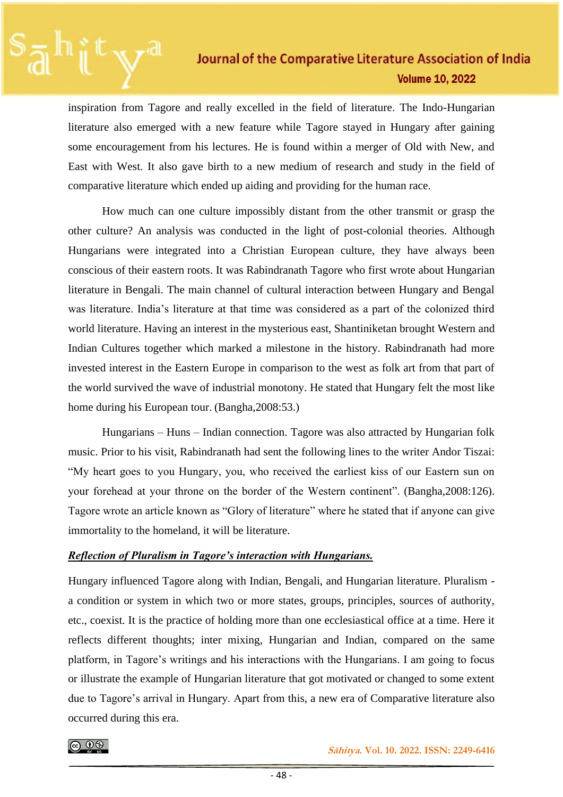inspiration from Tagore and really excelled in the field of literature. The Indo-Hungarian literature also emerged with a new feature while Tagore stayed in Hungary after gaining some encouragement from his lectures. He is found within a merger of Old with New, and East with West. It also gave birth to a new medium of research and study in the field of comparative literature which ended up aiding and providing for the human race.

How much can one culture impossibly distant from the other transmit or grasp the other culture? An analysis was conducted in the light of post-colonial theories. Although Hungarians were integrated into a Christian European culture, they have always been conscious of their eastern roots. It was Rabindranath Tagore who first wrote about Hungarian literature in Bengali. The main channel of cultural interaction between Hungary and Bengal was literature. India's literature at that time was considered as a part of the colonized third world literature. Having an interest in the mysterious east, Shantiniketan brought Western and Indian Cultures together which marked a milestone in the history. Rabindranath had more invested interest in the Eastern Europe in comparison to the west as folk art from that part of the world survived the wave of industrial monotony. He stated that Hungary felt the most like home during his European tour. (Bangha,2008:53.)

Hungarians – Huns – Indian connection. Tagore was also attracted by Hungarian folk music. Prior to his visit, Rabindranath had sent the following lines to the writer Andor Tiszai: "My heart goes to you Hungary, you, who received the earliest kiss of our Eastern sun on your forehead at your throne on the border of the Western continent". (Bangha,2008:126). Tagore wrote an article known as "Glory of literature" where he stated that if anyone can give immortality to the homeland, it will be literature.

### *Reflection of Pluralism in Tagore's interaction with Hungarians.*

Hungary influenced Tagore along with Indian, Bengali, and Hungarian literature. Pluralism a condition or system in which two or more states, groups, principles, sources of authority, etc., coexist. It is the practice of holding more than one ecclesiastical office at a time. Here it reflects different thoughts; inter mixing, Hungarian and Indian, compared on the same platform, in Tagore's writings and his interactions with the Hungarians. I am going to focus or illustrate the example of Hungarian literature that got motivated or changed to some extent due to Tagore's arrival in Hungary. Apart from this, a new era of Comparative literature also occurred during this era.

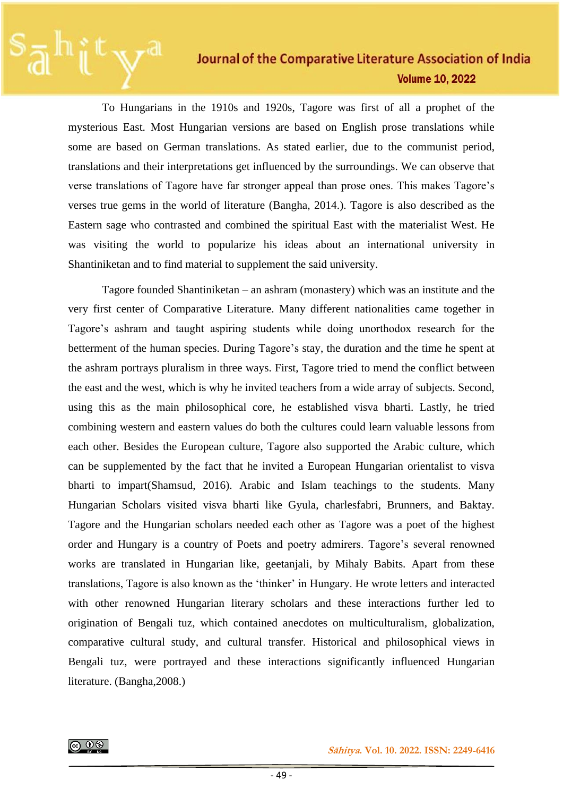To Hungarians in the 1910s and 1920s, Tagore was first of all a prophet of the mysterious East. Most Hungarian versions are based on English prose translations while some are based on German translations. As stated earlier, due to the communist period, translations and their interpretations get influenced by the surroundings. We can observe that verse translations of Tagore have far stronger appeal than prose ones. This makes Tagore's verses true gems in the world of literature (Bangha, 2014.). Tagore is also described as the Eastern sage who contrasted and combined the spiritual East with the materialist West. He was visiting the world to popularize his ideas about an international university in Shantiniketan and to find material to supplement the said university.

Tagore founded Shantiniketan – an ashram (monastery) which was an institute and the very first center of Comparative Literature. Many different nationalities came together in Tagore's ashram and taught aspiring students while doing unorthodox research for the betterment of the human species. During Tagore's stay, the duration and the time he spent at the ashram portrays pluralism in three ways. First, Tagore tried to mend the conflict between the east and the west, which is why he invited teachers from a wide array of subjects. Second, using this as the main philosophical core, he established visva bharti. Lastly, he tried combining western and eastern values do both the cultures could learn valuable lessons from each other. Besides the European culture, Tagore also supported the Arabic culture, which can be supplemented by the fact that he invited a European Hungarian orientalist to visva bharti to impart(Shamsud, 2016). Arabic and Islam teachings to the students. Many Hungarian Scholars visited visva bharti like Gyula, charlesfabri, Brunners, and Baktay. Tagore and the Hungarian scholars needed each other as Tagore was a poet of the highest order and Hungary is a country of Poets and poetry admirers. Tagore's several renowned works are translated in Hungarian like, geetanjali, by Mihaly Babits. Apart from these translations, Tagore is also known as the 'thinker' in Hungary. He wrote letters and interacted with other renowned Hungarian literary scholars and these interactions further led to origination of Bengali tuz, which contained anecdotes on multiculturalism, globalization, comparative cultural study, and cultural transfer. Historical and philosophical views in Bengali tuz, were portrayed and these interactions significantly influenced Hungarian literature. (Bangha,2008.)

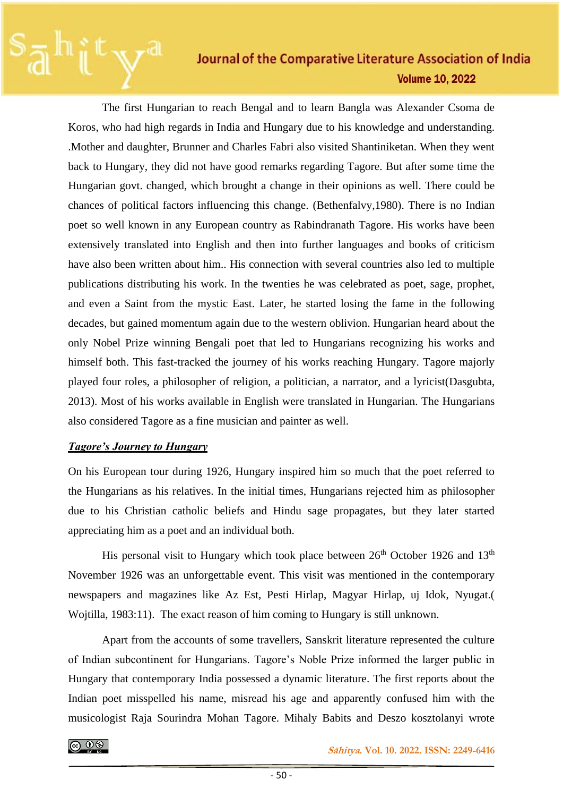The first Hungarian to reach Bengal and to learn Bangla was Alexander Csoma de Koros, who had high regards in India and Hungary due to his knowledge and understanding. .Mother and daughter, Brunner and Charles Fabri also visited Shantiniketan. When they went back to Hungary, they did not have good remarks regarding Tagore. But after some time the Hungarian govt. changed, which brought a change in their opinions as well. There could be chances of political factors influencing this change. (Bethenfalvy,1980). There is no Indian poet so well known in any European country as Rabindranath Tagore. His works have been extensively translated into English and then into further languages and books of criticism have also been written about him.. His connection with several countries also led to multiple publications distributing his work. In the twenties he was celebrated as poet, sage, prophet, and even a Saint from the mystic East. Later, he started losing the fame in the following decades, but gained momentum again due to the western oblivion. Hungarian heard about the only Nobel Prize winning Bengali poet that led to Hungarians recognizing his works and himself both. This fast-tracked the journey of his works reaching Hungary. Tagore majorly played four roles, a philosopher of religion, a politician, a narrator, and a lyricist(Dasgubta, 2013). Most of his works available in English were translated in Hungarian. The Hungarians also considered Tagore as a fine musician and painter as well.

### *Tagore's Journey to Hungary*

On his European tour during 1926, Hungary inspired him so much that the poet referred to the Hungarians as his relatives. In the initial times, Hungarians rejected him as philosopher due to his Christian catholic beliefs and Hindu sage propagates, but they later started appreciating him as a poet and an individual both.

His personal visit to Hungary which took place between  $26<sup>th</sup>$  October 1926 and 13<sup>th</sup> November 1926 was an unforgettable event. This visit was mentioned in the contemporary newspapers and magazines like Az Est, Pesti Hirlap, Magyar Hirlap, uj Idok, Nyugat.( Wojtilla, 1983:11). The exact reason of him coming to Hungary is still unknown.

Apart from the accounts of some travellers, Sanskrit literature represented the culture of Indian subcontinent for Hungarians. Tagore's Noble Prize informed the larger public in Hungary that contemporary India possessed a dynamic literature. The first reports about the Indian poet misspelled his name, misread his age and apparently confused him with the musicologist Raja Sourindra Mohan Tagore. Mihaly Babits and Deszo kosztolanyi wrote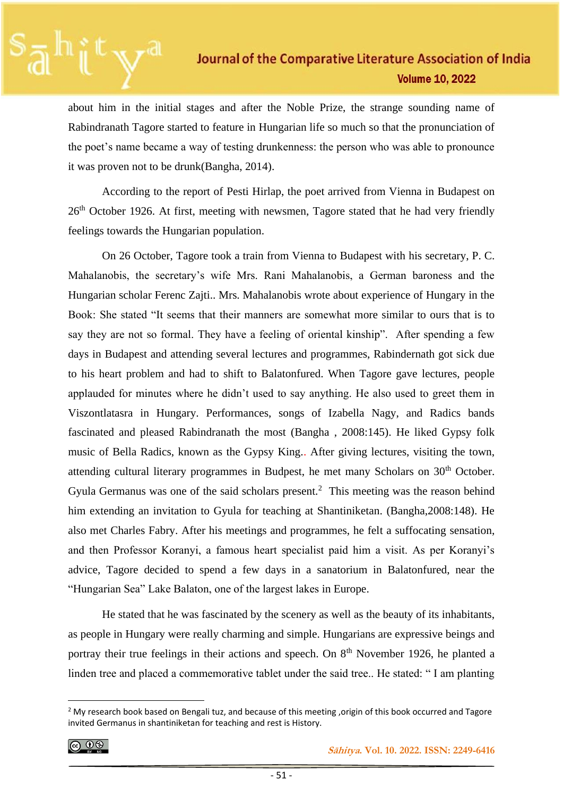about him in the initial stages and after the Noble Prize, the strange sounding name of Rabindranath Tagore started to feature in Hungarian life so much so that the pronunciation of the poet's name became a way of testing drunkenness: the person who was able to pronounce it was proven not to be drunk(Bangha, 2014).

According to the report of Pesti Hirlap, the poet arrived from Vienna in Budapest on 26<sup>th</sup> October 1926. At first, meeting with newsmen, Tagore stated that he had very friendly feelings towards the Hungarian population.

On 26 October, Tagore took a train from Vienna to Budapest with his secretary, P. C. Mahalanobis, the secretary's wife Mrs. Rani Mahalanobis, a German baroness and the Hungarian scholar Ferenc Zajti.. Mrs. Mahalanobis wrote about experience of Hungary in the Book: She stated "It seems that their manners are somewhat more similar to ours that is to say they are not so formal. They have a feeling of oriental kinship". After spending a few days in Budapest and attending several lectures and programmes, Rabindernath got sick due to his heart problem and had to shift to Balatonfured. When Tagore gave lectures, people applauded for minutes where he didn't used to say anything. He also used to greet them in Viszontlatasra in Hungary. Performances, songs of Izabella Nagy, and Radics bands fascinated and pleased Rabindranath the most (Bangha , 2008:145). He liked Gypsy folk music of Bella Radics, known as the Gypsy King.. After giving lectures, visiting the town, attending cultural literary programmes in Budpest, he met many Scholars on  $30<sup>th</sup>$  October. Gyula Germanus was one of the said scholars present.<sup>2</sup> This meeting was the reason behind him extending an invitation to Gyula for teaching at Shantiniketan. (Bangha,2008:148). He also met Charles Fabry. After his meetings and programmes, he felt a suffocating sensation, and then Professor Koranyi, a famous heart specialist paid him a visit. As per Koranyi's advice, Tagore decided to spend a few days in a sanatorium in Balatonfured, near the "Hungarian Sea" Lake Balaton, one of the largest lakes in Europe.

He stated that he was fascinated by the scenery as well as the beauty of its inhabitants, as people in Hungary were really charming and simple. Hungarians are expressive beings and portray their true feelings in their actions and speech. On  $8<sup>th</sup>$  November 1926, he planted a linden tree and placed a commemorative tablet under the said tree.. He stated: " I am planting

$$
\textcircled{\tiny{\textcircled{\#}}}
$$

 **Sāhitya. Vol. 10. 2022. ISSN: 2249-6416**

<sup>&</sup>lt;sup>2</sup> My research book based on Bengali tuz, and because of this meeting ,origin of this book occurred and Tagore invited Germanus in shantiniketan for teaching and rest is History.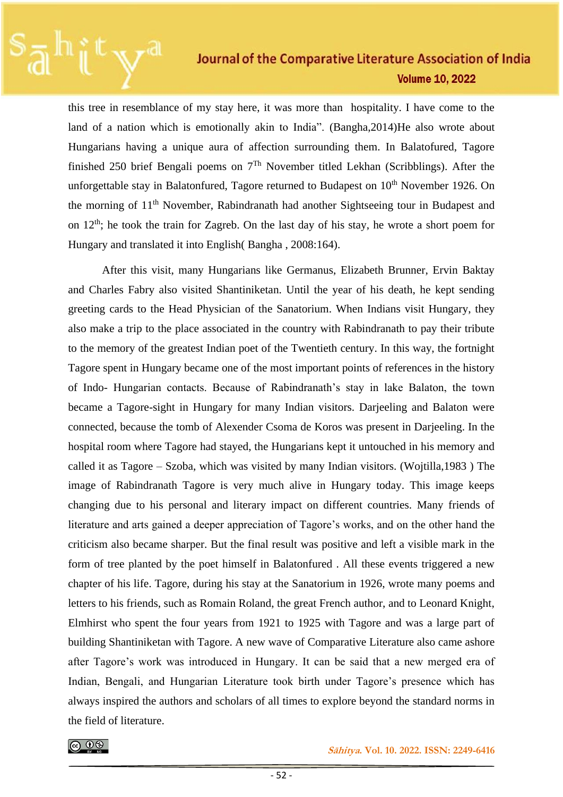this tree in resemblance of my stay here, it was more than hospitality. I have come to the land of a nation which is emotionally akin to India". (Bangha,2014)He also wrote about Hungarians having a unique aura of affection surrounding them. In Balatofured, Tagore finished 250 brief Bengali poems on 7Th November titled Lekhan (Scribblings). After the unforgettable stay in Balatonfured, Tagore returned to Budapest on  $10<sup>th</sup>$  November 1926. On the morning of 11th November, Rabindranath had another Sightseeing tour in Budapest and on  $12<sup>th</sup>$ ; he took the train for Zagreb. On the last day of his stay, he wrote a short poem for Hungary and translated it into English( Bangha , 2008:164).

After this visit, many Hungarians like Germanus, Elizabeth Brunner, Ervin Baktay and Charles Fabry also visited Shantiniketan. Until the year of his death, he kept sending greeting cards to the Head Physician of the Sanatorium. When Indians visit Hungary, they also make a trip to the place associated in the country with Rabindranath to pay their tribute to the memory of the greatest Indian poet of the Twentieth century. In this way, the fortnight Tagore spent in Hungary became one of the most important points of references in the history of Indo- Hungarian contacts. Because of Rabindranath's stay in lake Balaton, the town became a Tagore-sight in Hungary for many Indian visitors. Darjeeling and Balaton were connected, because the tomb of Alexender Csoma de Koros was present in Darjeeling. In the hospital room where Tagore had stayed, the Hungarians kept it untouched in his memory and called it as Tagore – Szoba, which was visited by many Indian visitors. (Wojtilla,1983 ) The image of Rabindranath Tagore is very much alive in Hungary today. This image keeps changing due to his personal and literary impact on different countries. Many friends of literature and arts gained a deeper appreciation of Tagore's works, and on the other hand the criticism also became sharper. But the final result was positive and left a visible mark in the form of tree planted by the poet himself in Balatonfured . All these events triggered a new chapter of his life. Tagore, during his stay at the Sanatorium in 1926, wrote many poems and letters to his friends, such as Romain Roland, the great French author, and to Leonard Knight, Elmhirst who spent the four years from 1921 to 1925 with Tagore and was a large part of building Shantiniketan with Tagore. A new wave of Comparative Literature also came ashore after Tagore's work was introduced in Hungary. It can be said that a new merged era of Indian, Bengali, and Hungarian Literature took birth under Tagore's presence which has always inspired the authors and scholars of all times to explore beyond the standard norms in the field of literature.



 **Sāhitya. Vol. 10. 2022. ISSN: 2249-6416**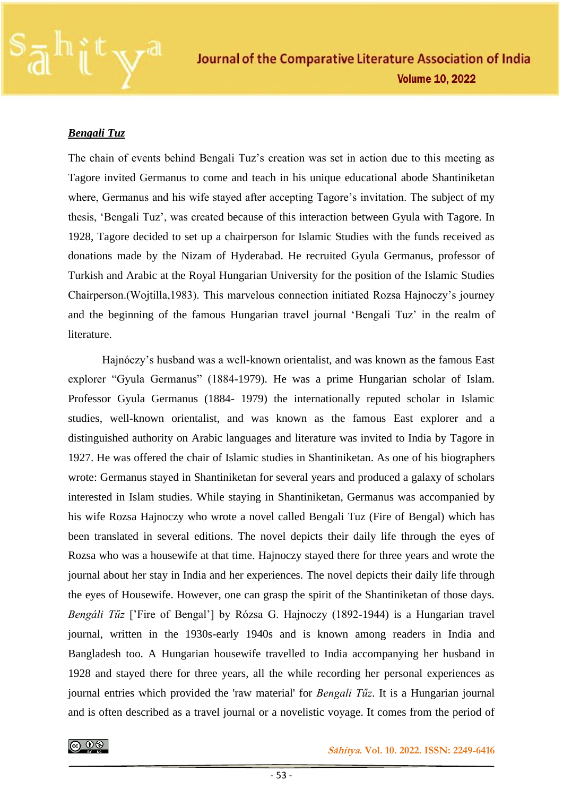

### *Bengali Tuz*

The chain of events behind Bengali Tuz's creation was set in action due to this meeting as Tagore invited Germanus to come and teach in his unique educational abode Shantiniketan where, Germanus and his wife stayed after accepting Tagore's invitation. The subject of my thesis, 'Bengali Tuz', was created because of this interaction between Gyula with Tagore. In 1928, Tagore decided to set up a chairperson for Islamic Studies with the funds received as donations made by the Nizam of Hyderabad. He recruited Gyula Germanus, professor of Turkish and Arabic at the Royal Hungarian University for the position of the Islamic Studies Chairperson.(Wojtilla,1983). This marvelous connection initiated Rozsa Hajnoczy's journey and the beginning of the famous Hungarian travel journal 'Bengali Tuz' in the realm of literature.

Hajnóczy's husband was a well-known orientalist, and was known as the famous East explorer "Gyula Germanus" (1884-1979). He was a prime Hungarian scholar of Islam. Professor Gyula Germanus (1884- 1979) the internationally reputed scholar in Islamic studies, well-known orientalist, and was known as the famous East explorer and a distinguished authority on Arabic languages and literature was invited to India by Tagore in 1927. He was offered the chair of Islamic studies in Shantiniketan. As one of his biographers wrote: Germanus stayed in Shantiniketan for several years and produced a galaxy of scholars interested in Islam studies. While staying in Shantiniketan, Germanus was accompanied by his wife Rozsa Hajnoczy who wrote a novel called Bengali Tuz (Fire of Bengal) which has been translated in several editions. The novel depicts their daily life through the eyes of Rozsa who was a housewife at that time. Hajnoczy stayed there for three years and wrote the journal about her stay in India and her experiences. The novel depicts their daily life through the eyes of Housewife. However, one can grasp the spirit of the Shantiniketan of those days. *Bengáli Tűz* ['Fire of Bengal'] by Rózsa G. Hajnoczy (1892-1944) is a Hungarian travel journal, written in the 1930s-early 1940s and is known among readers in India and Bangladesh too. A Hungarian housewife travelled to India accompanying her husband in 1928 and stayed there for three years, all the while recording her personal experiences as journal entries which provided the 'raw material' for *Bengali Tűz*. It is a Hungarian journal and is often described as a travel journal or a novelistic voyage. It comes from the period of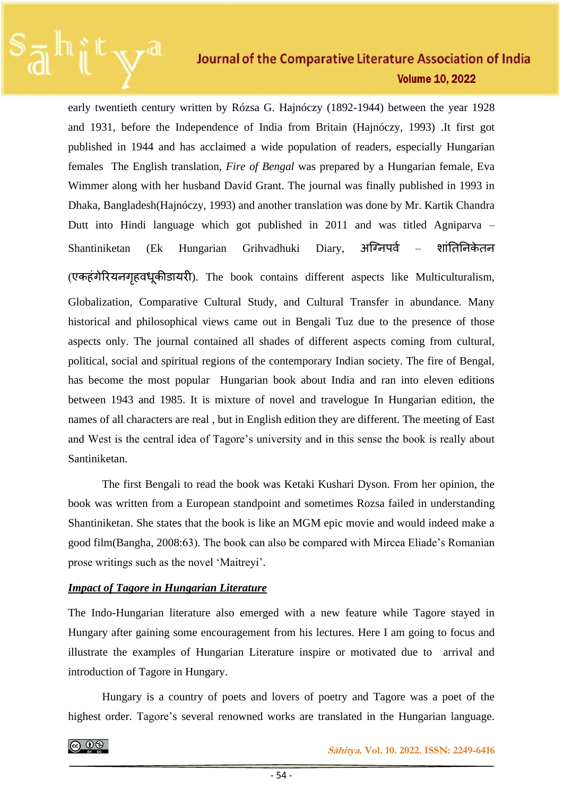early twentieth century written by Rózsa G. Hajnóczy (1892-1944) between the year 1928 and 1931, before the Independence of India from Britain (Hajnóczy, 1993) .It first got published in 1944 and has acclaimed a wide population of readers, especially Hungarian females The English translation, *Fire of Bengal* was prepared by a Hungarian female, Eva Wimmer along with her husband David Grant. The journal was finally published in 1993 in Dhaka, Bangladesh(Hajnóczy, 1993) and another translation was done by Mr. Kartik Chandra Dutt into Hindi language which got published in 2011 and was titled Agniparva – Shantiniketan (Ek Hungarian Grihvadhuki Diary, अग्निपर्व – शांतिनिकेतन

(एकहंगेरियनगृहवधूकीडायरी). The book contains different aspects like Multiculturalism, Globalization, Comparative Cultural Study, and Cultural Transfer in abundance. Many historical and philosophical views came out in Bengali Tuz due to the presence of those aspects only. The journal contained all shades of different aspects coming from cultural, political, social and spiritual regions of the contemporary Indian society. The fire of Bengal, has become the most popular Hungarian book about India and ran into eleven editions between 1943 and 1985. It is mixture of novel and travelogue In Hungarian edition, the names of all characters are real , but in English edition they are different. The meeting of East and West is the central idea of Tagore's university and in this sense the book is really about Santiniketan.

The first Bengali to read the book was Ketaki Kushari Dyson. From her opinion, the book was written from a European standpoint and sometimes Rozsa failed in understanding Shantiniketan. She states that the book is like an MGM epic movie and would indeed make a good film(Bangha, 2008:63). The book can also be compared with Mircea Eliade's Romanian prose writings such as the novel 'Maitreyi'.

### *Impact of Tagore in Hungarian Literature*

The Indo-Hungarian literature also emerged with a new feature while Tagore stayed in Hungary after gaining some encouragement from his lectures. Here I am going to focus and illustrate the examples of Hungarian Literature inspire or motivated due to arrival and introduction of Tagore in Hungary.

Hungary is a country of poets and lovers of poetry and Tagore was a poet of the highest order. Tagore's several renowned works are translated in the Hungarian language.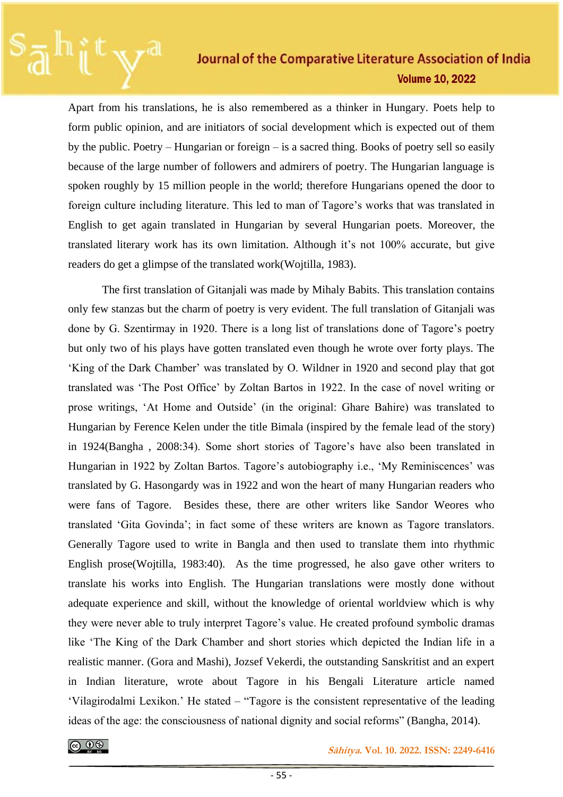Apart from his translations, he is also remembered as a thinker in Hungary. Poets help to form public opinion, and are initiators of social development which is expected out of them by the public. Poetry – Hungarian or foreign – is a sacred thing. Books of poetry sell so easily because of the large number of followers and admirers of poetry. The Hungarian language is spoken roughly by 15 million people in the world; therefore Hungarians opened the door to foreign culture including literature. This led to man of Tagore's works that was translated in English to get again translated in Hungarian by several Hungarian poets. Moreover, the translated literary work has its own limitation. Although it's not 100% accurate, but give readers do get a glimpse of the translated work(Wojtilla, 1983).

The first translation of Gitanjali was made by Mihaly Babits. This translation contains only few stanzas but the charm of poetry is very evident. The full translation of Gitanjali was done by G. Szentirmay in 1920. There is a long list of translations done of Tagore's poetry but only two of his plays have gotten translated even though he wrote over forty plays. The 'King of the Dark Chamber' was translated by O. Wildner in 1920 and second play that got translated was 'The Post Office' by Zoltan Bartos in 1922. In the case of novel writing or prose writings, 'At Home and Outside' (in the original: Ghare Bahire) was translated to Hungarian by Ference Kelen under the title Bimala (inspired by the female lead of the story) in 1924(Bangha , 2008:34). Some short stories of Tagore's have also been translated in Hungarian in 1922 by Zoltan Bartos. Tagore's autobiography i.e., 'My Reminiscences' was translated by G. Hasongardy was in 1922 and won the heart of many Hungarian readers who were fans of Tagore. Besides these, there are other writers like Sandor Weores who translated 'Gita Govinda'; in fact some of these writers are known as Tagore translators. Generally Tagore used to write in Bangla and then used to translate them into rhythmic English prose(Wojtilla, 1983:40). As the time progressed, he also gave other writers to translate his works into English. The Hungarian translations were mostly done without adequate experience and skill, without the knowledge of oriental worldview which is why they were never able to truly interpret Tagore's value. He created profound symbolic dramas like 'The King of the Dark Chamber and short stories which depicted the Indian life in a realistic manner. (Gora and Mashi), Jozsef Vekerdi, the outstanding Sanskritist and an expert in Indian literature, wrote about Tagore in his Bengali Literature article named 'Vilagirodalmi Lexikon.' He stated – "Tagore is the consistent representative of the leading ideas of the age: the consciousness of national dignity and social reforms" (Bangha, 2014).

 **<b>***Sāhitya*. Vol. 10. 2022. ISSN: 2249-6416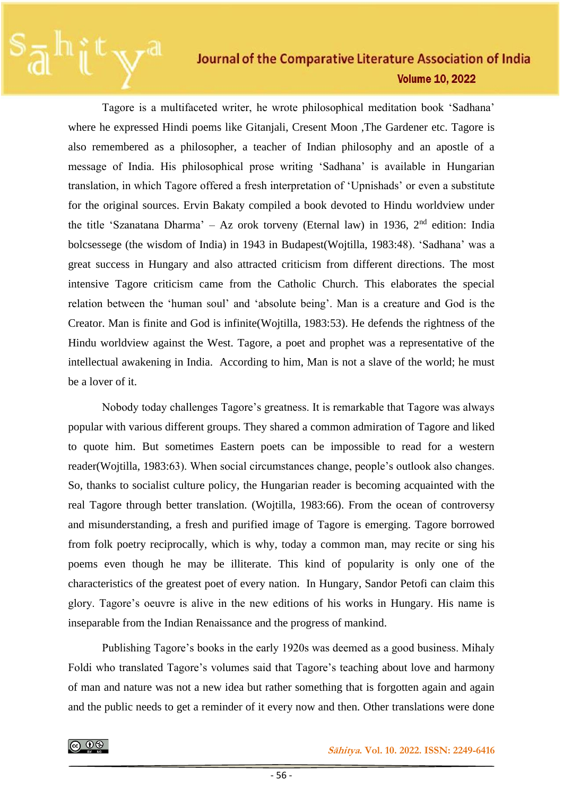Tagore is a multifaceted writer, he wrote philosophical meditation book 'Sadhana' where he expressed Hindi poems like Gitanjali, Cresent Moon ,The Gardener etc. Tagore is also remembered as a philosopher, a teacher of Indian philosophy and an apostle of a message of India. His philosophical prose writing 'Sadhana' is available in Hungarian translation, in which Tagore offered a fresh interpretation of 'Upnishads' or even a substitute for the original sources. Ervin Bakaty compiled a book devoted to Hindu worldview under the title 'Szanatana Dharma' – Az orok torveny (Eternal law) in 1936,  $2<sup>nd</sup>$  edition: India bolcsessege (the wisdom of India) in 1943 in Budapest(Wojtilla, 1983:48). 'Sadhana' was a great success in Hungary and also attracted criticism from different directions. The most intensive Tagore criticism came from the Catholic Church. This elaborates the special relation between the 'human soul' and 'absolute being'. Man is a creature and God is the Creator. Man is finite and God is infinite(Wojtilla, 1983:53). He defends the rightness of the Hindu worldview against the West. Tagore, a poet and prophet was a representative of the intellectual awakening in India. According to him, Man is not a slave of the world; he must be a lover of it.

Nobody today challenges Tagore's greatness. It is remarkable that Tagore was always popular with various different groups. They shared a common admiration of Tagore and liked to quote him. But sometimes Eastern poets can be impossible to read for a western reader(Wojtilla, 1983:63). When social circumstances change, people's outlook also changes. So, thanks to socialist culture policy, the Hungarian reader is becoming acquainted with the real Tagore through better translation. (Wojtilla, 1983:66). From the ocean of controversy and misunderstanding, a fresh and purified image of Tagore is emerging. Tagore borrowed from folk poetry reciprocally, which is why, today a common man, may recite or sing his poems even though he may be illiterate. This kind of popularity is only one of the characteristics of the greatest poet of every nation. In Hungary, Sandor Petofi can claim this glory. Tagore's oeuvre is alive in the new editions of his works in Hungary. His name is inseparable from the Indian Renaissance and the progress of mankind.

Publishing Tagore's books in the early 1920s was deemed as a good business. Mihaly Foldi who translated Tagore's volumes said that Tagore's teaching about love and harmony of man and nature was not a new idea but rather something that is forgotten again and again and the public needs to get a reminder of it every now and then. Other translations were done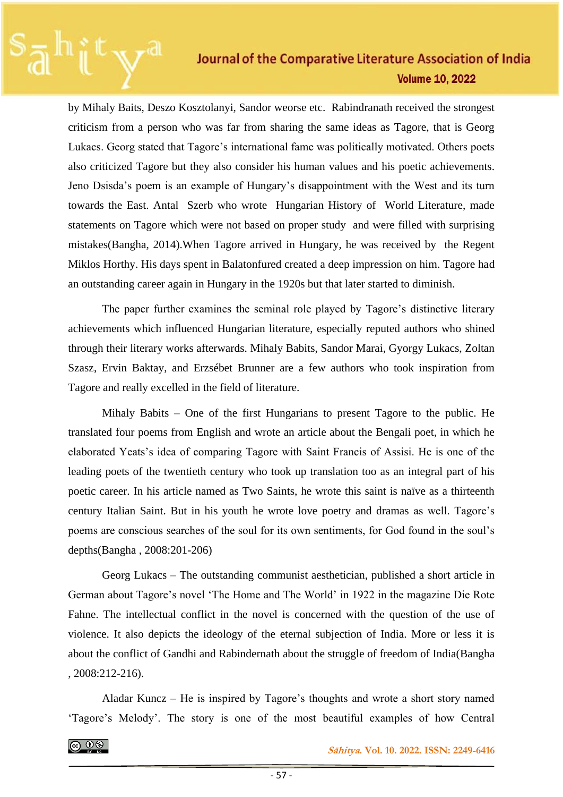by Mihaly Baits, Deszo Kosztolanyi, Sandor weorse etc. Rabindranath received the strongest criticism from a person who was far from sharing the same ideas as Tagore, that is Georg Lukacs. Georg stated that Tagore's international fame was politically motivated. Others poets also criticized Tagore but they also consider his human values and his poetic achievements. Jeno Dsisda's poem is an example of Hungary's disappointment with the West and its turn towards the East. Antal Szerb who wrote Hungarian History of World Literature, made statements on Tagore which were not based on proper study and were filled with surprising mistakes(Bangha, 2014).When Tagore arrived in Hungary, he was received by the Regent Miklos Horthy. His days spent in Balatonfured created a deep impression on him. Tagore had an outstanding career again in Hungary in the 1920s but that later started to diminish.

The paper further examines the seminal role played by Tagore's distinctive literary achievements which influenced Hungarian literature, especially reputed authors who shined through their literary works afterwards. Mihaly Babits, Sandor Marai, Gyorgy Lukacs, Zoltan Szasz, Ervin Baktay, and Erzsébet Brunner are a few authors who took inspiration from Tagore and really excelled in the field of literature.

Mihaly Babits – One of the first Hungarians to present Tagore to the public. He translated four poems from English and wrote an article about the Bengali poet, in which he elaborated Yeats's idea of comparing Tagore with Saint Francis of Assisi. He is one of the leading poets of the twentieth century who took up translation too as an integral part of his poetic career. In his article named as Two Saints, he wrote this saint is naïve as a thirteenth century Italian Saint. But in his youth he wrote love poetry and dramas as well. Tagore's poems are conscious searches of the soul for its own sentiments, for God found in the soul's depths(Bangha , 2008:201-206)

Georg Lukacs – The outstanding communist aesthetician, published a short article in German about Tagore's novel 'The Home and The World' in 1922 in the magazine Die Rote Fahne. The intellectual conflict in the novel is concerned with the question of the use of violence. It also depicts the ideology of the eternal subjection of India. More or less it is about the conflict of Gandhi and Rabindernath about the struggle of freedom of India(Bangha , 2008:212-216).

Aladar Kuncz – He is inspired by Tagore's thoughts and wrote a short story named 'Tagore's Melody'. The story is one of the most beautiful examples of how Central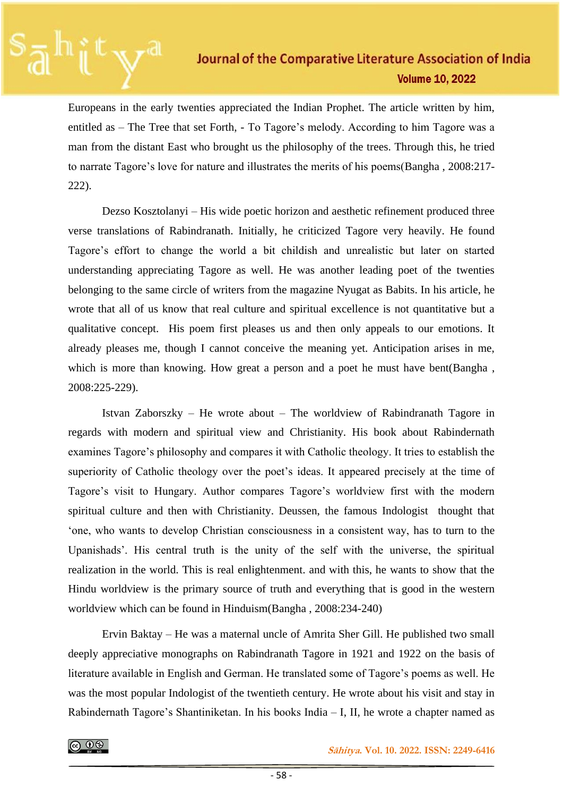Europeans in the early twenties appreciated the Indian Prophet. The article written by him, entitled as – The Tree that set Forth, - To Tagore's melody. According to him Tagore was a man from the distant East who brought us the philosophy of the trees. Through this, he tried to narrate Tagore's love for nature and illustrates the merits of his poems(Bangha , 2008:217- 222).

Dezso Kosztolanyi – His wide poetic horizon and aesthetic refinement produced three verse translations of Rabindranath. Initially, he criticized Tagore very heavily. He found Tagore's effort to change the world a bit childish and unrealistic but later on started understanding appreciating Tagore as well. He was another leading poet of the twenties belonging to the same circle of writers from the magazine Nyugat as Babits. In his article, he wrote that all of us know that real culture and spiritual excellence is not quantitative but a qualitative concept. His poem first pleases us and then only appeals to our emotions. It already pleases me, though I cannot conceive the meaning yet. Anticipation arises in me, which is more than knowing. How great a person and a poet he must have bent(Bangha, 2008:225-229).

Istvan Zaborszky – He wrote about – The worldview of Rabindranath Tagore in regards with modern and spiritual view and Christianity. His book about Rabindernath examines Tagore's philosophy and compares it with Catholic theology. It tries to establish the superiority of Catholic theology over the poet's ideas. It appeared precisely at the time of Tagore's visit to Hungary. Author compares Tagore's worldview first with the modern spiritual culture and then with Christianity. Deussen, the famous Indologist thought that 'one, who wants to develop Christian consciousness in a consistent way, has to turn to the Upanishads'. His central truth is the unity of the self with the universe, the spiritual realization in the world. This is real enlightenment. and with this, he wants to show that the Hindu worldview is the primary source of truth and everything that is good in the western worldview which can be found in Hinduism(Bangha , 2008:234-240)

Ervin Baktay – He was a maternal uncle of Amrita Sher Gill. He published two small deeply appreciative monographs on Rabindranath Tagore in 1921 and 1922 on the basis of literature available in English and German. He translated some of Tagore's poems as well. He was the most popular Indologist of the twentieth century. He wrote about his visit and stay in Rabindernath Tagore's Shantiniketan. In his books India – I, II, he wrote a chapter named as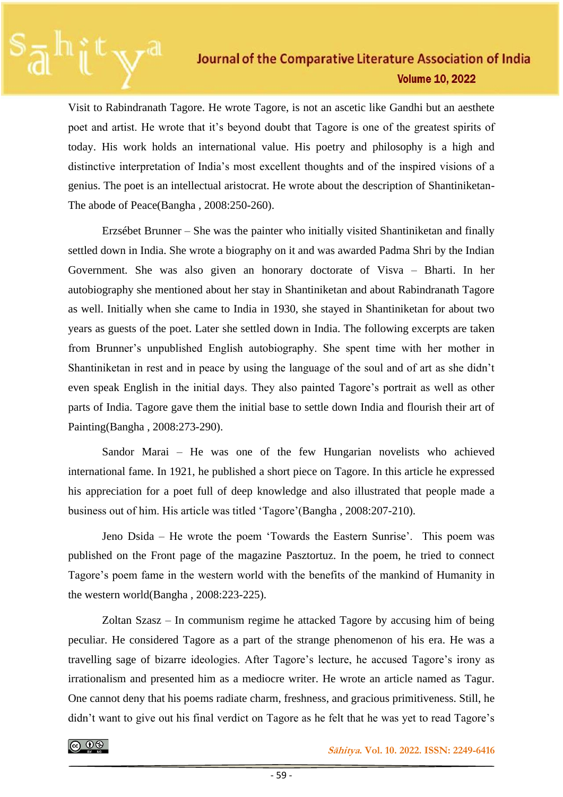Visit to Rabindranath Tagore. He wrote Tagore, is not an ascetic like Gandhi but an aesthete poet and artist. He wrote that it's beyond doubt that Tagore is one of the greatest spirits of today. His work holds an international value. His poetry and philosophy is a high and distinctive interpretation of India's most excellent thoughts and of the inspired visions of a genius. The poet is an intellectual aristocrat. He wrote about the description of Shantiniketan-The abode of Peace(Bangha , 2008:250-260).

Erzsébet Brunner – She was the painter who initially visited Shantiniketan and finally settled down in India. She wrote a biography on it and was awarded Padma Shri by the Indian Government. She was also given an honorary doctorate of Visva – Bharti. In her autobiography she mentioned about her stay in Shantiniketan and about Rabindranath Tagore as well. Initially when she came to India in 1930, she stayed in Shantiniketan for about two years as guests of the poet. Later she settled down in India. The following excerpts are taken from Brunner's unpublished English autobiography. She spent time with her mother in Shantiniketan in rest and in peace by using the language of the soul and of art as she didn't even speak English in the initial days. They also painted Tagore's portrait as well as other parts of India. Tagore gave them the initial base to settle down India and flourish their art of Painting(Bangha , 2008:273-290).

Sandor Marai – He was one of the few Hungarian novelists who achieved international fame. In 1921, he published a short piece on Tagore. In this article he expressed his appreciation for a poet full of deep knowledge and also illustrated that people made a business out of him. His article was titled 'Tagore'(Bangha , 2008:207-210).

Jeno Dsida – He wrote the poem 'Towards the Eastern Sunrise'. This poem was published on the Front page of the magazine Pasztortuz. In the poem, he tried to connect Tagore's poem fame in the western world with the benefits of the mankind of Humanity in the western world(Bangha , 2008:223-225).

Zoltan Szasz – In communism regime he attacked Tagore by accusing him of being peculiar. He considered Tagore as a part of the strange phenomenon of his era. He was a travelling sage of bizarre ideologies. After Tagore's lecture, he accused Tagore's irony as irrationalism and presented him as a mediocre writer. He wrote an article named as Tagur. One cannot deny that his poems radiate charm, freshness, and gracious primitiveness. Still, he didn't want to give out his final verdict on Tagore as he felt that he was yet to read Tagore's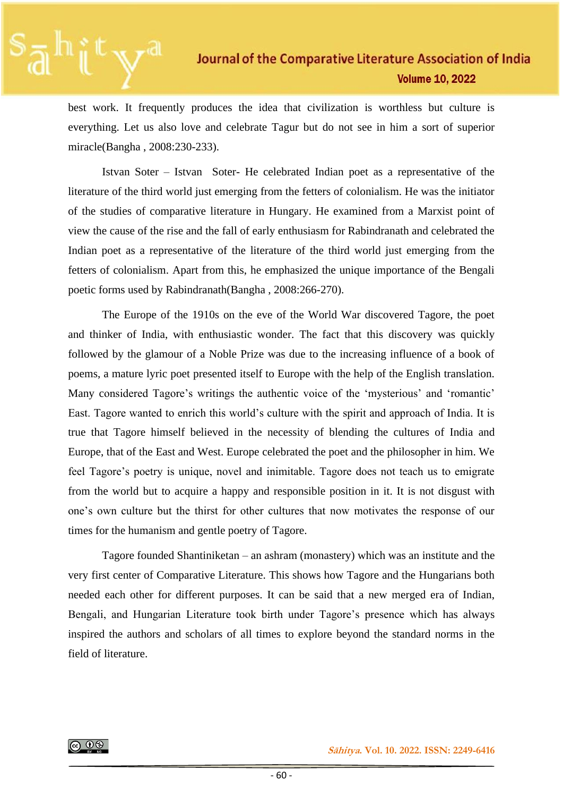best work. It frequently produces the idea that civilization is worthless but culture is everything. Let us also love and celebrate Tagur but do not see in him a sort of superior miracle(Bangha , 2008:230-233).

Istvan Soter – Istvan Soter- He celebrated Indian poet as a representative of the literature of the third world just emerging from the fetters of colonialism. He was the initiator of the studies of comparative literature in Hungary. He examined from a Marxist point of view the cause of the rise and the fall of early enthusiasm for Rabindranath and celebrated the Indian poet as a representative of the literature of the third world just emerging from the fetters of colonialism. Apart from this, he emphasized the unique importance of the Bengali poetic forms used by Rabindranath(Bangha , 2008:266-270).

The Europe of the 1910s on the eve of the World War discovered Tagore, the poet and thinker of India, with enthusiastic wonder. The fact that this discovery was quickly followed by the glamour of a Noble Prize was due to the increasing influence of a book of poems, a mature lyric poet presented itself to Europe with the help of the English translation. Many considered Tagore's writings the authentic voice of the 'mysterious' and 'romantic' East. Tagore wanted to enrich this world's culture with the spirit and approach of India. It is true that Tagore himself believed in the necessity of blending the cultures of India and Europe, that of the East and West. Europe celebrated the poet and the philosopher in him. We feel Tagore's poetry is unique, novel and inimitable. Tagore does not teach us to emigrate from the world but to acquire a happy and responsible position in it. It is not disgust with one's own culture but the thirst for other cultures that now motivates the response of our times for the humanism and gentle poetry of Tagore.

Tagore founded Shantiniketan – an ashram (monastery) which was an institute and the very first center of Comparative Literature. This shows how Tagore and the Hungarians both needed each other for different purposes. It can be said that a new merged era of Indian, Bengali, and Hungarian Literature took birth under Tagore's presence which has always inspired the authors and scholars of all times to explore beyond the standard norms in the field of literature.



 **Sāhitya. Vol. 10. 2022. ISSN: 2249-6416**